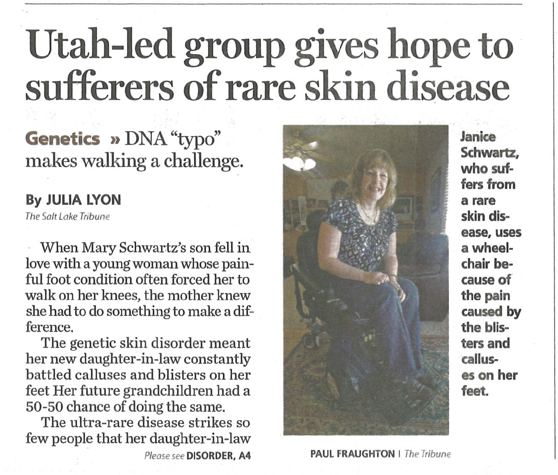# **Utah-led group gives hope to sufferers of rare skin disease**

Genetics » DNA "typo" makes walking a challenge.

#### **By JULIA LYON**

The Salt Lake Tribune

When Mary Schwartz's son fell in love with a young woman whose painful foot condition often forced her to walk on her knees, the mother knew she had to do something to make a difference.

The genetic skin disorder meant her new daughter-in-law constantly battled calluses and blisters on her feet Her future grandchildren had a 50-50 chance of doing the same.

The ultra-rare disease strikes so few people that her daughter-in-law



Please see **DISORDER, A4** PAUL FRAUGHTON I The Tribune

**Janice Schwartz, who suf**fers from **a rare skin disease, uses**  a wheel**chair because of the pain caused by the blisters and calluses on her**  feet.